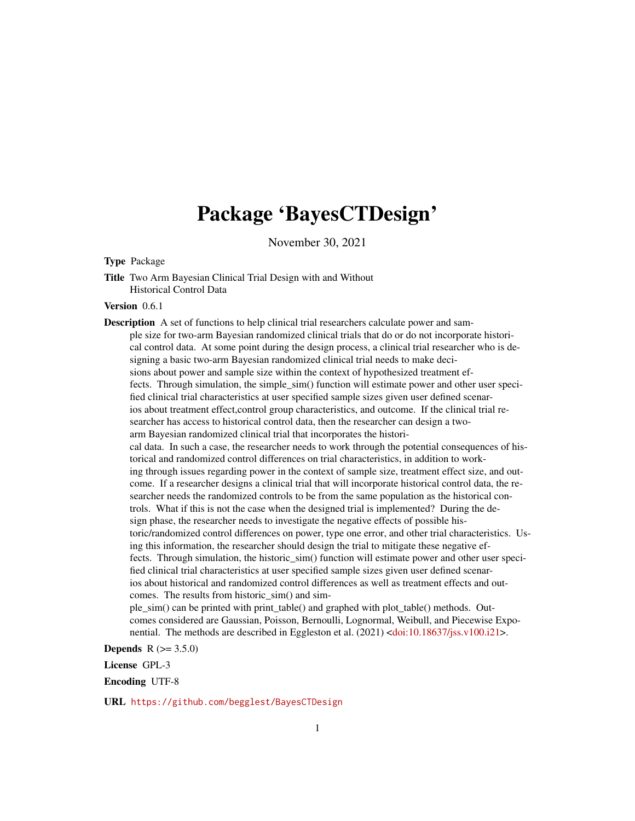# Package 'BayesCTDesign'

November 30, 2021

#### Type Package

Title Two Arm Bayesian Clinical Trial Design with and Without Historical Control Data

#### Version 0.6.1

Description A set of functions to help clinical trial researchers calculate power and sample size for two-arm Bayesian randomized clinical trials that do or do not incorporate historical control data. At some point during the design process, a clinical trial researcher who is designing a basic two-arm Bayesian randomized clinical trial needs to make decisions about power and sample size within the context of hypothesized treatment effects. Through simulation, the simple  $\sin($ ) function will estimate power and other user specified clinical trial characteristics at user specified sample sizes given user defined scenarios about treatment effect,control group characteristics, and outcome. If the clinical trial researcher has access to historical control data, then the researcher can design a twoarm Bayesian randomized clinical trial that incorporates the historical data. In such a case, the researcher needs to work through the potential consequences of historical and randomized control differences on trial characteristics, in addition to working through issues regarding power in the context of sample size, treatment effect size, and outcome. If a researcher designs a clinical trial that will incorporate historical control data, the researcher needs the randomized controls to be from the same population as the historical controls. What if this is not the case when the designed trial is implemented? During the design phase, the researcher needs to investigate the negative effects of possible historic/randomized control differences on power, type one error, and other trial characteristics. Using this information, the researcher should design the trial to mitigate these negative effects. Through simulation, the historic\_sim() function will estimate power and other user specified clinical trial characteristics at user specified sample sizes given user defined scenarios about historical and randomized control differences as well as treatment effects and outcomes. The results from historic\_sim() and simple\_sim() can be printed with print\_table() and graphed with plot\_table() methods. Out-

comes considered are Gaussian, Poisson, Bernoulli, Lognormal, Weibull, and Piecewise Exponential. The methods are described in Eggleston et al. (2021) [<doi:10.18637/jss.v100.i21>](https://doi.org/10.18637/jss.v100.i21).

**Depends**  $R (= 3.5.0)$ 

License GPL-3

Encoding UTF-8

URL <https://github.com/begglest/BayesCTDesign>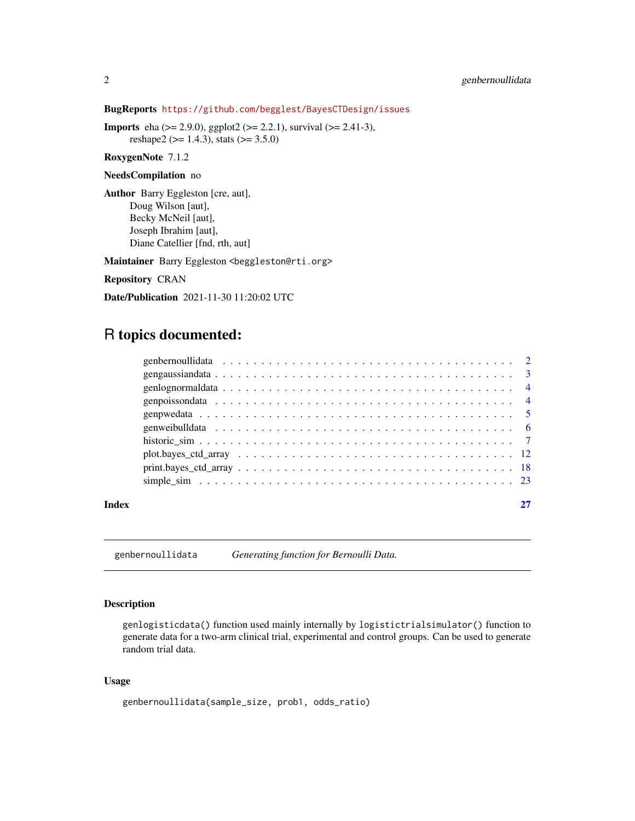BugReports <https://github.com/begglest/BayesCTDesign/issues>

**Imports** eha ( $> = 2.9.0$ ), ggplot2 ( $> = 2.2.1$ ), survival ( $> = 2.41-3$ ), reshape2 ( $> = 1.4.3$ ), stats ( $> = 3.5.0$ )

RoxygenNote 7.1.2

#### NeedsCompilation no

Author Barry Eggleston [cre, aut], Doug Wilson [aut], Becky McNeil [aut], Joseph Ibrahim [aut], Diane Catellier [fnd, rth, aut]

Maintainer Barry Eggleston <br/>beggleston@rti.org>

Repository CRAN

Date/Publication 2021-11-30 11:20:02 UTC

## R topics documented:

| Index |  |  |  |  |  |  |  |  |  |  |  |  |  |  |  |  |  |
|-------|--|--|--|--|--|--|--|--|--|--|--|--|--|--|--|--|--|

genbernoullidata *Generating function for Bernoulli Data.*

#### Description

genlogisticdata() function used mainly internally by logistictrialsimulator() function to generate data for a two-arm clinical trial, experimental and control groups. Can be used to generate random trial data.

#### Usage

```
genbernoullidata(sample_size, prob1, odds_ratio)
```
<span id="page-1-0"></span>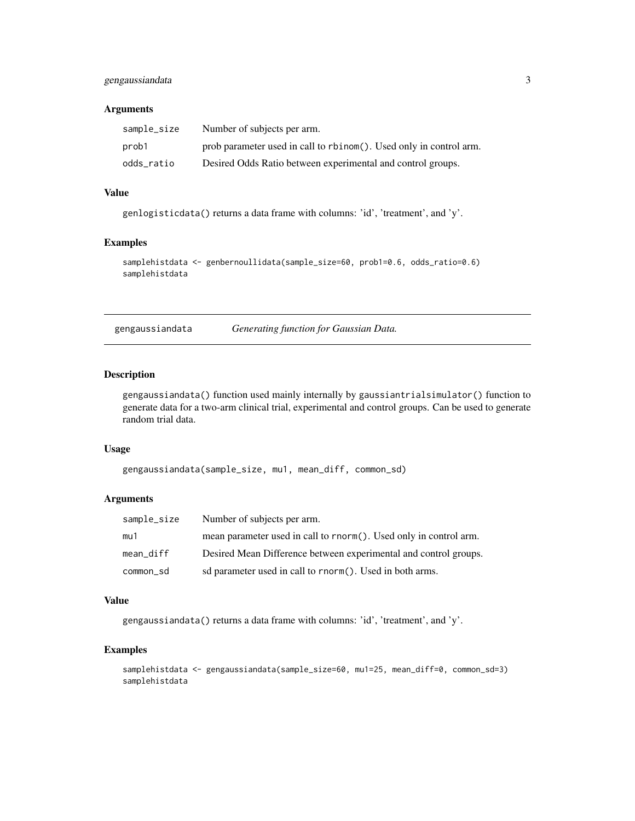#### <span id="page-2-0"></span>gengaussiandata 3

#### Arguments

| sample_size | Number of subjects per arm.                                        |
|-------------|--------------------------------------------------------------------|
| prob1       | prob parameter used in call to rbinom(). Used only in control arm. |
| odds ratio  | Desired Odds Ratio between experimental and control groups.        |

#### Value

genlogisticdata() returns a data frame with columns: 'id', 'treatment', and 'y'.

#### Examples

```
samplehistdata <- genbernoullidata(sample_size=60, prob1=0.6, odds_ratio=0.6)
samplehistdata
```
gengaussiandata *Generating function for Gaussian Data.*

#### Description

gengaussiandata() function used mainly internally by gaussiantrialsimulator() function to generate data for a two-arm clinical trial, experimental and control groups. Can be used to generate random trial data.

#### Usage

```
gengaussiandata(sample_size, mu1, mean_diff, common_sd)
```
#### Arguments

| sample_size | Number of subjects per arm.                                       |
|-------------|-------------------------------------------------------------------|
| mu1         | mean parameter used in call to rnorm(). Used only in control arm. |
| mean diff   | Desired Mean Difference between experimental and control groups.  |
| common sd   | sd parameter used in call to rnorm(). Used in both arms.          |

#### Value

gengaussiandata() returns a data frame with columns: 'id', 'treatment', and 'y'.

#### Examples

```
samplehistdata <- gengaussiandata(sample_size=60, mu1=25, mean_diff=0, common_sd=3)
samplehistdata
```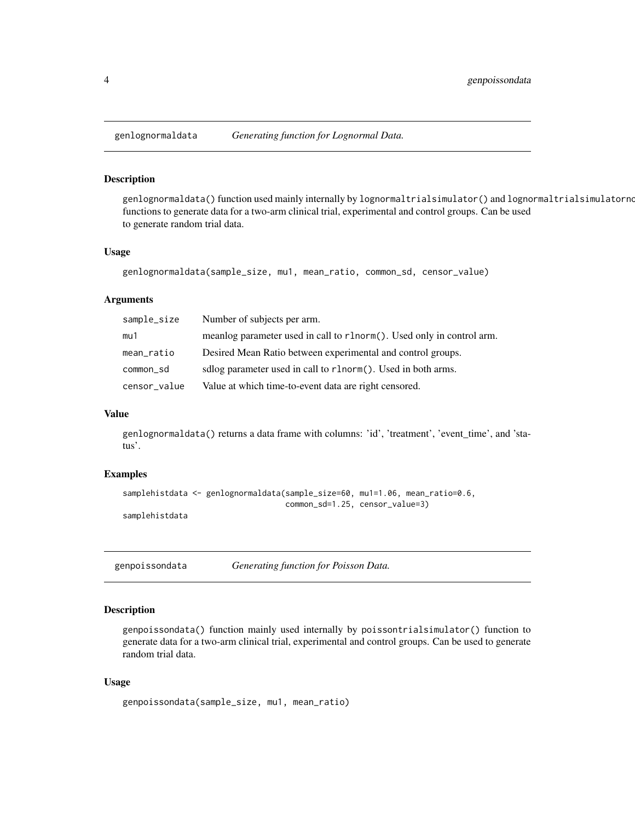#### Description

genlognormaldata() function used mainly internally by lognormaltrialsimulator() and lognormaltrialsimulatorno functions to generate data for a two-arm clinical trial, experimental and control groups. Can be used to generate random trial data.

#### Usage

```
genlognormaldata(sample_size, mu1, mean_ratio, common_sd, censor_value)
```
#### Arguments

| sample_size  | Number of subjects per arm.                                           |
|--------------|-----------------------------------------------------------------------|
| mu1          | meanlog parameter used in call to r1norm(). Used only in control arm. |
| mean_ratio   | Desired Mean Ratio between experimental and control groups.           |
| common_sd    | sdlog parameter used in call to r1norm(). Used in both arms.          |
| censor_value | Value at which time-to-event data are right censored.                 |

#### Value

genlognormaldata() returns a data frame with columns: 'id', 'treatment', 'event\_time', and 'status'.

#### Examples

```
samplehistdata <- genlognormaldata(sample_size=60, mu1=1.06, mean_ratio=0.6,
                                   common_sd=1.25, censor_value=3)
samplehistdata
```
genpoissondata *Generating function for Poisson Data.*

#### Description

genpoissondata() function mainly used internally by poissontrialsimulator() function to generate data for a two-arm clinical trial, experimental and control groups. Can be used to generate random trial data.

#### Usage

```
genpoissondata(sample_size, mu1, mean_ratio)
```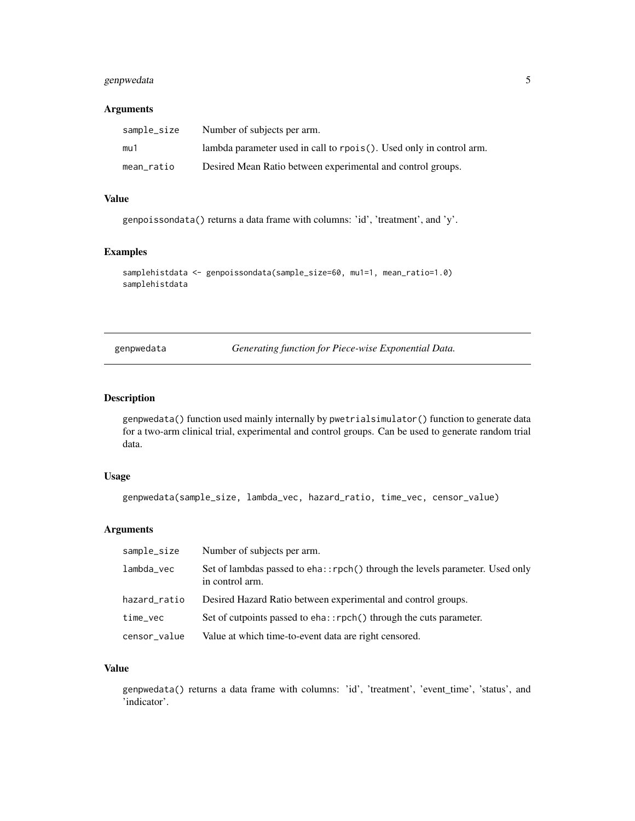#### <span id="page-4-0"></span>genpwedata 5

#### Arguments

| sample_size | Number of subjects per arm.                                         |
|-------------|---------------------------------------------------------------------|
| mu1         | lambda parameter used in call to rpois(). Used only in control arm. |
| mean ratio  | Desired Mean Ratio between experimental and control groups.         |

#### Value

genpoissondata() returns a data frame with columns: 'id', 'treatment', and 'y'.

#### Examples

```
samplehistdata <- genpoissondata(sample_size=60, mu1=1, mean_ratio=1.0)
samplehistdata
```
genpwedata *Generating function for Piece-wise Exponential Data.*

#### Description

genpwedata() function used mainly internally by pwetrialsimulator() function to generate data for a two-arm clinical trial, experimental and control groups. Can be used to generate random trial data.

#### Usage

genpwedata(sample\_size, lambda\_vec, hazard\_ratio, time\_vec, censor\_value)

#### Arguments

| sample_size  | Number of subjects per arm.                                                                     |
|--------------|-------------------------------------------------------------------------------------------------|
| lambda_vec   | Set of lambdas passed to eha::rpch() through the levels parameter. Used only<br>in control arm. |
| hazard_ratio | Desired Hazard Ratio between experimental and control groups.                                   |
| time_vec     | Set of cutpoints passed to eha::rpch() through the cuts parameter.                              |
| censor_value | Value at which time-to-event data are right censored.                                           |

#### Value

genpwedata() returns a data frame with columns: 'id', 'treatment', 'event\_time', 'status', and 'indicator'.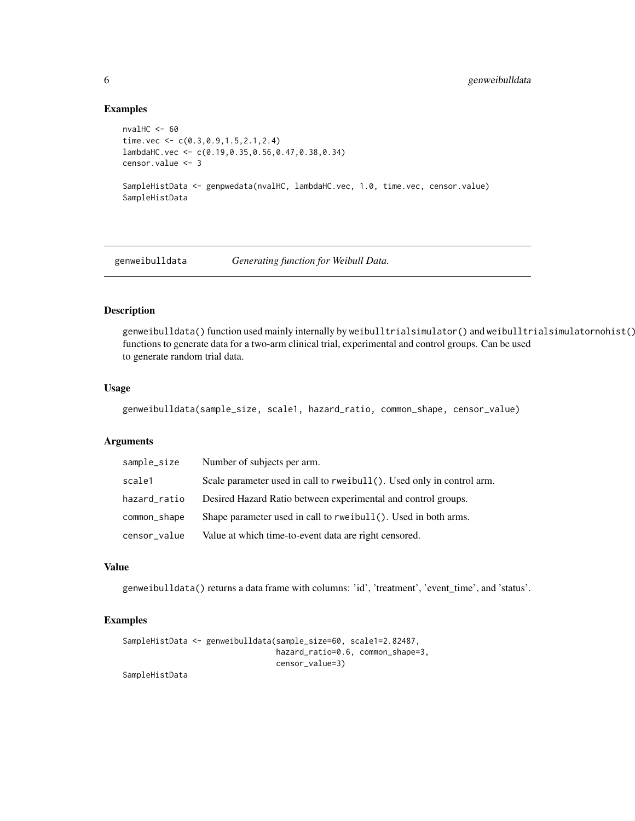#### Examples

```
nvalHC <-60time.vec <- c(0.3,0.9,1.5,2.1,2.4)
lambdaHC.vec <- c(0.19,0.35,0.56,0.47,0.38,0.34)
censor.value <- 3
SampleHistData <- genpwedata(nvalHC, lambdaHC.vec, 1.0, time.vec, censor.value)
SampleHistData
```
genweibulldata *Generating function for Weibull Data.*

#### Description

genweibulldata() function used mainly internally by weibulltrialsimulator() and weibulltrialsimulatornohist() functions to generate data for a two-arm clinical trial, experimental and control groups. Can be used to generate random trial data.

#### Usage

genweibulldata(sample\_size, scale1, hazard\_ratio, common\_shape, censor\_value)

#### Arguments

| sample_size  | Number of subjects per arm.                                           |
|--------------|-----------------------------------------------------------------------|
| scale1       | Scale parameter used in call to rweibull(). Used only in control arm. |
| hazard_ratio | Desired Hazard Ratio between experimental and control groups.         |
| common_shape | Shape parameter used in call to rweibull (). Used in both arms.       |
| censor_value | Value at which time-to-event data are right censored.                 |

#### Value

genweibulldata() returns a data frame with columns: 'id', 'treatment', 'event\_time', and 'status'.

#### Examples

```
SampleHistData <- genweibulldata(sample_size=60, scale1=2.82487,
                                 hazard_ratio=0.6, common_shape=3,
                                 censor_value=3)
```
SampleHistData

<span id="page-5-0"></span>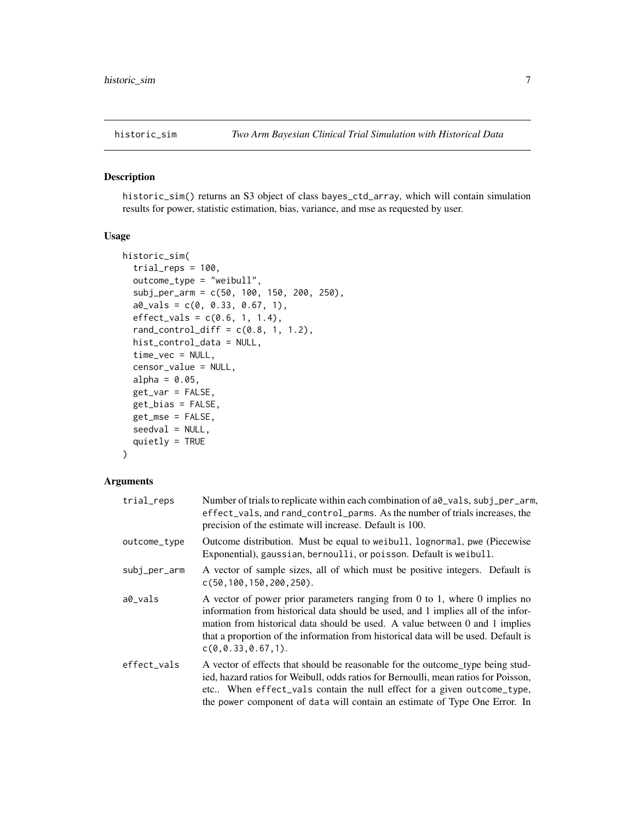<span id="page-6-0"></span>

#### Description

historic\_sim() returns an S3 object of class bayes\_ctd\_array, which will contain simulation results for power, statistic estimation, bias, variance, and mse as requested by user.

#### Usage

```
historic_sim(
  trial_{reps} = 100,outcome_type = "weibull",
  subj_per_arm = c(50, 100, 150, 200, 250),
  a0_Vals = c(0, 0.33, 0.67, 1),effect\_vals = c(0.6, 1, 1.4),rand_countrol\_diff = c(0.8, 1, 1.2),
  hist_control_data = NULL,
  time_vec = NULL,
  censor_value = NULL,
  alpha = 0.05,
  get_var = FALSE,
  get_bias = FALSE,
  get_mse = FALSE,
  seedval = NULL,quietly = TRUE
)
```
# Arguments

#### trial\_reps Number of trials to replicate within each combination of a0\_vals, subj\_per\_arm, effect\_vals, and rand\_control\_parms. As the number of trials increases, the precision of the estimate will increase. Default is 100. outcome\_type Outcome distribution. Must be equal to weibull, lognormal, pwe (Piecewise Exponential), gaussian, bernoulli, or poisson. Default is weibull. subj\_per\_arm A vector of sample sizes, all of which must be positive integers. Default is c(50,100,150,200,250). a0\_vals A vector of power prior parameters ranging from 0 to 1, where 0 implies no information from historical data should be used, and 1 implies all of the information from historical data should be used. A value between 0 and 1 implies that a proportion of the information from historical data will be used. Default is c(0,0.33,0.67,1). effect\_vals A vector of effects that should be reasonable for the outcome type being studied, hazard ratios for Weibull, odds ratios for Bernoulli, mean ratios for Poisson, etc.. When effect\_vals contain the null effect for a given outcome\_type, the power component of data will contain an estimate of Type One Error. In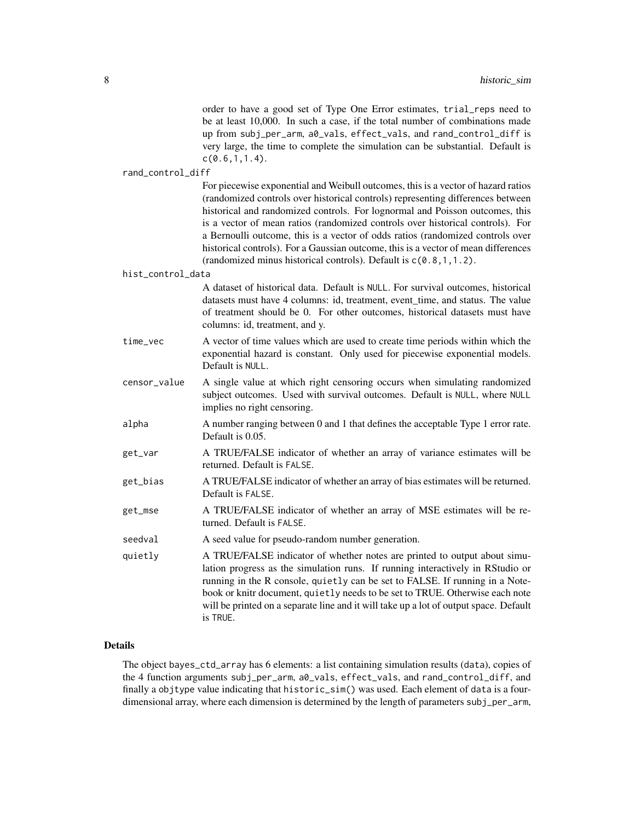|                   | order to have a good set of Type One Error estimates, trial_reps need to<br>be at least 10,000. In such a case, if the total number of combinations made<br>up from subj_per_arm, a0_vals, effect_vals, and rand_control_diff is<br>very large, the time to complete the simulation can be substantial. Default is<br>c(0.6, 1, 1.4).                                                                                                                                                                                                                                                |
|-------------------|--------------------------------------------------------------------------------------------------------------------------------------------------------------------------------------------------------------------------------------------------------------------------------------------------------------------------------------------------------------------------------------------------------------------------------------------------------------------------------------------------------------------------------------------------------------------------------------|
| rand_control_diff |                                                                                                                                                                                                                                                                                                                                                                                                                                                                                                                                                                                      |
|                   | For piecewise exponential and Weibull outcomes, this is a vector of hazard ratios<br>(randomized controls over historical controls) representing differences between<br>historical and randomized controls. For lognormal and Poisson outcomes, this<br>is a vector of mean ratios (randomized controls over historical controls). For<br>a Bernoulli outcome, this is a vector of odds ratios (randomized controls over<br>historical controls). For a Gaussian outcome, this is a vector of mean differences<br>(randomized minus historical controls). Default is c(0.8, 1, 1.2). |
| hist_control_data |                                                                                                                                                                                                                                                                                                                                                                                                                                                                                                                                                                                      |
|                   | A dataset of historical data. Default is NULL. For survival outcomes, historical<br>datasets must have 4 columns: id, treatment, event_time, and status. The value<br>of treatment should be 0. For other outcomes, historical datasets must have<br>columns: id, treatment, and y.                                                                                                                                                                                                                                                                                                  |
| time_vec          | A vector of time values which are used to create time periods within which the<br>exponential hazard is constant. Only used for piecewise exponential models.<br>Default is NULL.                                                                                                                                                                                                                                                                                                                                                                                                    |
| censor_value      | A single value at which right censoring occurs when simulating randomized<br>subject outcomes. Used with survival outcomes. Default is NULL, where NULL<br>implies no right censoring.                                                                                                                                                                                                                                                                                                                                                                                               |
| alpha             | A number ranging between 0 and 1 that defines the acceptable Type 1 error rate.<br>Default is 0.05.                                                                                                                                                                                                                                                                                                                                                                                                                                                                                  |
| get_var           | A TRUE/FALSE indicator of whether an array of variance estimates will be<br>returned. Default is FALSE.                                                                                                                                                                                                                                                                                                                                                                                                                                                                              |
| get_bias          | A TRUE/FALSE indicator of whether an array of bias estimates will be returned.<br>Default is FALSE.                                                                                                                                                                                                                                                                                                                                                                                                                                                                                  |
| get_mse           | A TRUE/FALSE indicator of whether an array of MSE estimates will be re-<br>turned. Default is FALSE.                                                                                                                                                                                                                                                                                                                                                                                                                                                                                 |
| seedval           | A seed value for pseudo-random number generation.                                                                                                                                                                                                                                                                                                                                                                                                                                                                                                                                    |
| quietly           | A TRUE/FALSE indicator of whether notes are printed to output about simu-<br>lation progress as the simulation runs. If running interactively in RStudio or<br>running in the R console, quietly can be set to FALSE. If running in a Note-<br>book or knitr document, quietly needs to be set to TRUE. Otherwise each note<br>will be printed on a separate line and it will take up a lot of output space. Default<br>is TRUE.                                                                                                                                                     |

#### Details

The object bayes\_ctd\_array has 6 elements: a list containing simulation results (data), copies of the 4 function arguments subj\_per\_arm, a0\_vals, effect\_vals, and rand\_control\_diff, and finally a objtype value indicating that historic\_sim() was used. Each element of data is a fourdimensional array, where each dimension is determined by the length of parameters subj\_per\_arm,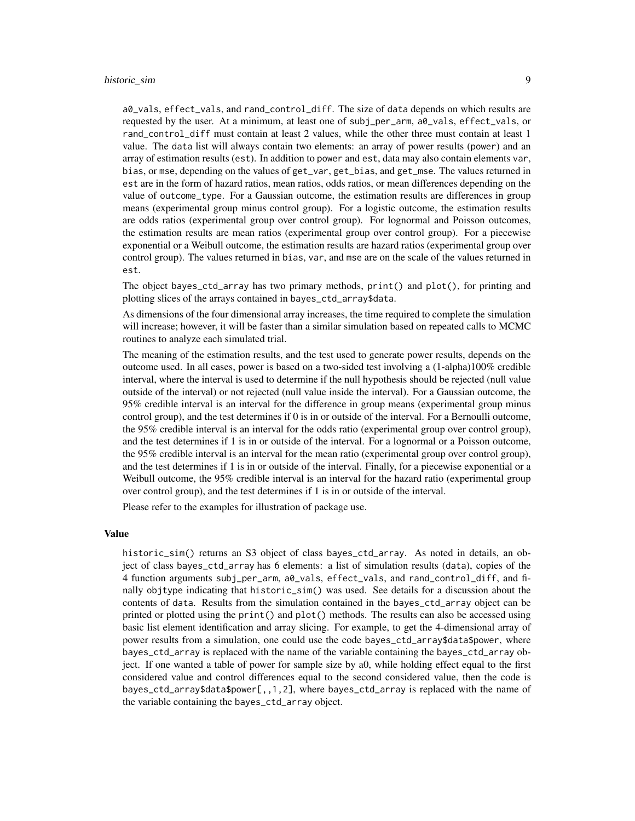a0\_vals, effect\_vals, and rand\_control\_diff. The size of data depends on which results are requested by the user. At a minimum, at least one of subj\_per\_arm, a0\_vals, effect\_vals, or rand\_control\_diff must contain at least 2 values, while the other three must contain at least 1 value. The data list will always contain two elements: an array of power results (power) and an array of estimation results (est). In addition to power and est, data may also contain elements var, bias, or mse, depending on the values of get\_var, get\_bias, and get\_mse. The values returned in est are in the form of hazard ratios, mean ratios, odds ratios, or mean differences depending on the value of outcome\_type. For a Gaussian outcome, the estimation results are differences in group means (experimental group minus control group). For a logistic outcome, the estimation results are odds ratios (experimental group over control group). For lognormal and Poisson outcomes, the estimation results are mean ratios (experimental group over control group). For a piecewise exponential or a Weibull outcome, the estimation results are hazard ratios (experimental group over control group). The values returned in bias, var, and mse are on the scale of the values returned in est.

The object bayes\_ctd\_array has two primary methods, print() and plot(), for printing and plotting slices of the arrays contained in bayes\_ctd\_array\$data.

As dimensions of the four dimensional array increases, the time required to complete the simulation will increase; however, it will be faster than a similar simulation based on repeated calls to MCMC routines to analyze each simulated trial.

The meaning of the estimation results, and the test used to generate power results, depends on the outcome used. In all cases, power is based on a two-sided test involving a (1-alpha)100% credible interval, where the interval is used to determine if the null hypothesis should be rejected (null value outside of the interval) or not rejected (null value inside the interval). For a Gaussian outcome, the 95% credible interval is an interval for the difference in group means (experimental group minus control group), and the test determines if 0 is in or outside of the interval. For a Bernoulli outcome, the 95% credible interval is an interval for the odds ratio (experimental group over control group), and the test determines if 1 is in or outside of the interval. For a lognormal or a Poisson outcome, the 95% credible interval is an interval for the mean ratio (experimental group over control group), and the test determines if 1 is in or outside of the interval. Finally, for a piecewise exponential or a Weibull outcome, the 95% credible interval is an interval for the hazard ratio (experimental group over control group), and the test determines if 1 is in or outside of the interval.

Please refer to the examples for illustration of package use.

#### Value

historic\_sim() returns an S3 object of class bayes\_ctd\_array. As noted in details, an object of class bayes\_ctd\_array has 6 elements: a list of simulation results (data), copies of the 4 function arguments subj\_per\_arm, a0\_vals, effect\_vals, and rand\_control\_diff, and finally objtype indicating that historic\_sim() was used. See details for a discussion about the contents of data. Results from the simulation contained in the bayes\_ctd\_array object can be printed or plotted using the print() and plot() methods. The results can also be accessed using basic list element identification and array slicing. For example, to get the 4-dimensional array of power results from a simulation, one could use the code bayes\_ctd\_array\$data\$power, where bayes\_ctd\_array is replaced with the name of the variable containing the bayes\_ctd\_array object. If one wanted a table of power for sample size by a0, while holding effect equal to the first considered value and control differences equal to the second considered value, then the code is bayes\_ctd\_array\$data\$power[,,1,2], where bayes\_ctd\_array is replaced with the name of the variable containing the bayes\_ctd\_array object.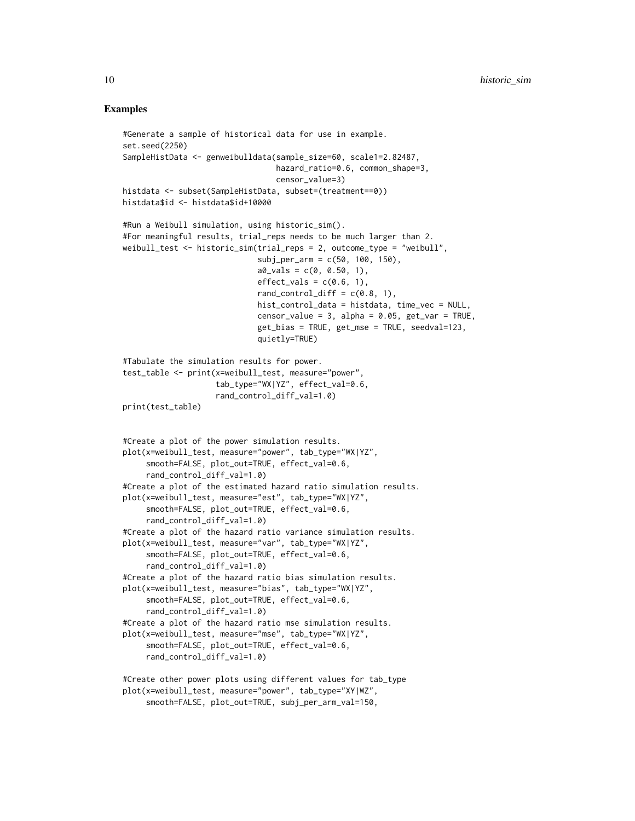#### Examples

```
#Generate a sample of historical data for use in example.
set.seed(2250)
SampleHistData <- genweibulldata(sample_size=60, scale1=2.82487,
                                 hazard_ratio=0.6, common_shape=3,
                                 censor_value=3)
histdata <- subset(SampleHistData, subset=(treatment==0))
histdata$id <- histdata$id+10000
#Run a Weibull simulation, using historic_sim().
#For meaningful results, trial_reps needs to be much larger than 2.
weibull_test <- historic_sim(trial_reps = 2, outcome_type = "weibull",
                             subj_per_arm = c(50, 100, 150),
                             a0<sub>-vals</sub> = c(0, 0.50, 1),
                             effect_vals = c(0.6, 1),
                             rand_control_diff = c(0.8, 1),
                             hist_control_data = histdata, time_vec = NULL,
                             censor_value = 3, alpha = 0.05, get_var = TRUE,
                             get_bias = TRUE, get_mse = TRUE, seedval=123,
                             quietly=TRUE)
#Tabulate the simulation results for power.
test_table <- print(x=weibull_test, measure="power",
                    tab_type="WX|YZ", effect_val=0.6,
                    rand_control_diff_val=1.0)
print(test_table)
#Create a plot of the power simulation results.
plot(x=weibull_test, measure="power", tab_type="WX|YZ",
     smooth=FALSE, plot_out=TRUE, effect_val=0.6,
     rand_control_diff_val=1.0)
#Create a plot of the estimated hazard ratio simulation results.
plot(x=weibull_test, measure="est", tab_type="WX|YZ",
     smooth=FALSE, plot_out=TRUE, effect_val=0.6,
     rand_control_diff_val=1.0)
#Create a plot of the hazard ratio variance simulation results.
plot(x=weibull_test, measure="var", tab_type="WX|YZ",
     smooth=FALSE, plot_out=TRUE, effect_val=0.6,
     rand_control_diff_val=1.0)
#Create a plot of the hazard ratio bias simulation results.
plot(x=weibull_test, measure="bias", tab_type="WX|YZ",
     smooth=FALSE, plot_out=TRUE, effect_val=0.6,
     rand_control_diff_val=1.0)
#Create a plot of the hazard ratio mse simulation results.
plot(x=weibull_test, measure="mse", tab_type="WX|YZ",
     smooth=FALSE, plot_out=TRUE, effect_val=0.6,
     rand_control_diff_val=1.0)
#Create other power plots using different values for tab_type
plot(x=weibull_test, measure="power", tab_type="XY|WZ",
     smooth=FALSE, plot_out=TRUE, subj_per_arm_val=150,
```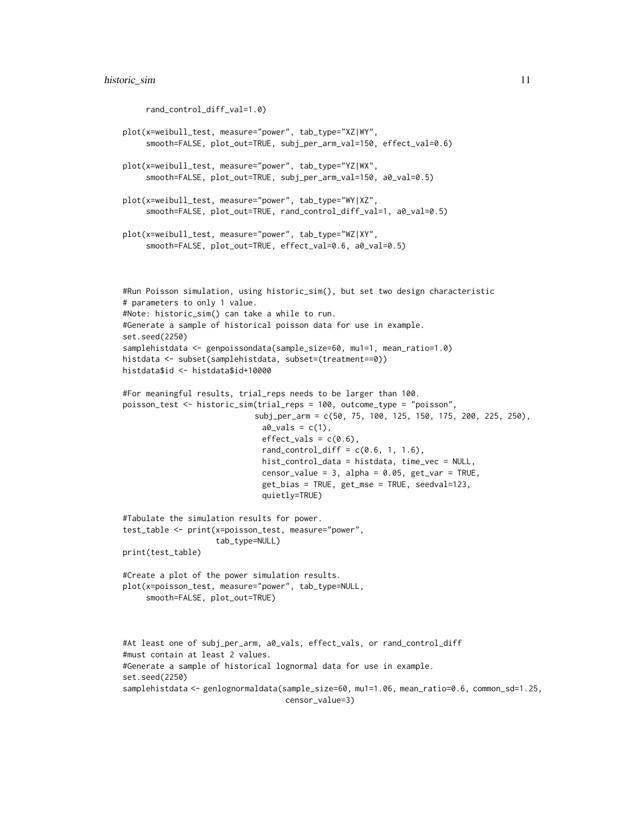```
rand_control_diff_val=1.0)
plot(x=weibull_test, measure="power", tab_type="XZ|WY",
     smooth=FALSE, plot_out=TRUE, subj_per_arm_val=150, effect_val=0.6)
plot(x=weibull_test, measure="power", tab_type="YZ|WX",
     smooth=FALSE, plot_out=TRUE, subj_per_arm_val=150, a0_val=0.5)
plot(x=weibull_test, measure="power", tab_type="WY|XZ",
     smooth=FALSE, plot_out=TRUE, rand_control_diff_val=1, a0_val=0.5)
plot(x=weibull_test, measure="power", tab_type="WZ|XY",
     smooth=FALSE, plot_out=TRUE, effect_val=0.6, a0_val=0.5)
#Run Poisson simulation, using historic_sim(), but set two design characteristic
# parameters to only 1 value.
#Note: historic_sim() can take a while to run.
#Generate a sample of historical poisson data for use in example.
set.seed(2250)
samplehistdata <- genpoissondata(sample_size=60, mu1=1, mean_ratio=1.0)
histdata <- subset(samplehistdata, subset=(treatment==0))
histdata$id <- histdata$id+10000
#For meaningful results, trial_reps needs to be larger than 100.
poisson_test <- historic_sim(trial_reps = 100, outcome_type = "poisson",
                            subj_per_arm = c(50, 75, 100, 125, 150, 175, 200, 225, 250),
                              a0_Vals = c(1),
                              effect_values = c(0.6),
                              rand_countrol\_diff = c(0.6, 1, 1.6),
                              hist_control_data = histdata, time_vec = NULL,
                              censor_value = 3, alpha = 0.05, get_var = TRUE,
                              get_bias = TRUE, get_mse = TRUE, seedval=123,
                              quietly=TRUE)
#Tabulate the simulation results for power.
test_table <- print(x=poisson_test, measure="power",
                    tab_type=NULL)
print(test_table)
#Create a plot of the power simulation results.
plot(x=poisson_test, measure="power", tab_type=NULL,
     smooth=FALSE, plot_out=TRUE)
#At least one of subj_per_arm, a0_vals, effect_vals, or rand_control_diff
#must contain at least 2 values.
#Generate a sample of historical lognormal data for use in example.
set.seed(2250)
samplehistdata <- genlognormaldata(sample_size=60, mu1=1.06, mean_ratio=0.6, common_sd=1.25,
                                   censor_value=3)
```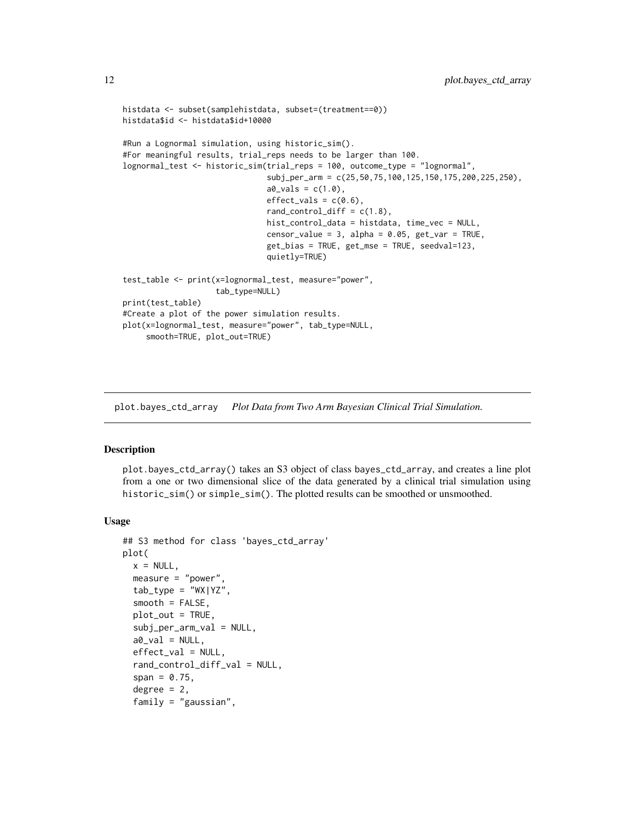```
histdata <- subset(samplehistdata, subset=(treatment==0))
histdata$id <- histdata$id+10000
#Run a Lognormal simulation, using historic_sim().
#For meaningful results, trial_reps needs to be larger than 100.
lognormal_test <- historic_sim(trial_reps = 100, outcome_type = "lognormal",
                               subj_per_arm = c(25,50,75,100,125,150,175,200,225,250),
                               a0_Vals = c(1.0),
                               effect\_vals = c(0.6),
                               rand_control_diff = c(1.8),
                               hist_control_data = histdata, time_vec = NULL,
                               censor_value = 3, alpha = 0.05, get_var = TRUE,
                               get_bias = TRUE, get_mse = TRUE, seedval=123,
                               quietly=TRUE)
test_table <- print(x=lognormal_test, measure="power",
                    tab_type=NULL)
print(test_table)
#Create a plot of the power simulation results.
plot(x=lognormal_test, measure="power", tab_type=NULL,
     smooth=TRUE, plot_out=TRUE)
```
plot.bayes\_ctd\_array *Plot Data from Two Arm Bayesian Clinical Trial Simulation.*

#### Description

plot.bayes\_ctd\_array() takes an S3 object of class bayes\_ctd\_array, and creates a line plot from a one or two dimensional slice of the data generated by a clinical trial simulation using historic\_sim() or simple\_sim(). The plotted results can be smoothed or unsmoothed.

#### Usage

```
## S3 method for class 'bayes_ctd_array'
plot(
  x = NULL,measure = "power",
  tab_type = "WX|YZ",smooth = FALSE,plot\_out = TRUE,subj_per_arm_val = NULL,
  a0<sub>-Val</sub> = NULL,
  effect_val = NULL,
  rand_control_diff_val = NULL,
  span = 0.75,degree = 2,
  family = "gaussian",
```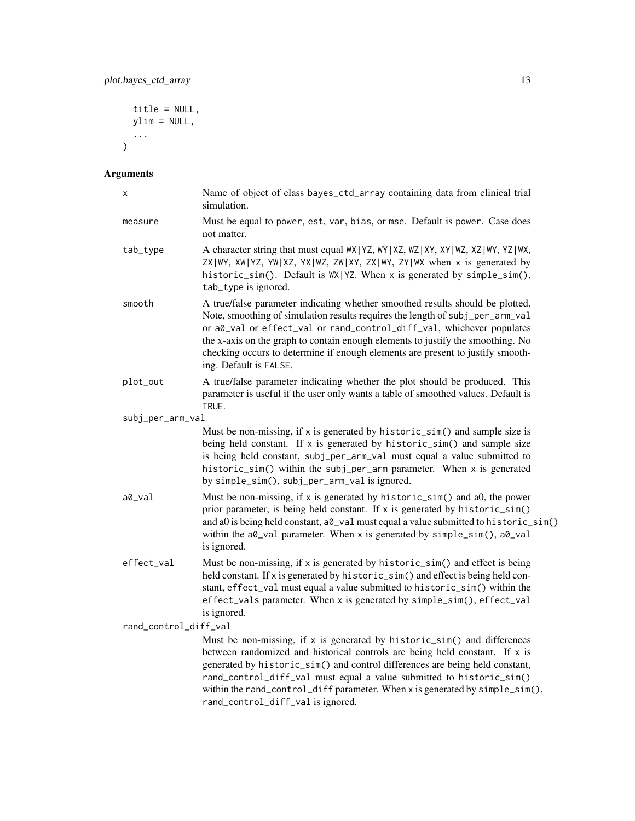```
title = NULL,
  ylim = NULL,
  ...
\overline{)}
```
### Arguments

| Χ                     | Name of object of class bayes_ctd_array containing data from clinical trial<br>simulation.                                                                                                                                                                                                                                                                                                                                             |
|-----------------------|----------------------------------------------------------------------------------------------------------------------------------------------------------------------------------------------------------------------------------------------------------------------------------------------------------------------------------------------------------------------------------------------------------------------------------------|
| measure               | Must be equal to power, est, var, bias, or mse. Default is power. Case does<br>not matter.                                                                                                                                                                                                                                                                                                                                             |
| tab_type              | A character string that must equal WX   YZ, WY   XZ, WZ   XY, XY   WZ, XZ   WY, YZ   WX,<br>ZX WY, XW YZ, YW XZ, YX WZ, ZW XY, ZX WY, ZY WX when x is generated by<br>historic_sim(). Default is WX YZ. When x is generated by simple_sim(),<br>tab_type is ignored.                                                                                                                                                                   |
| smooth                | A true/false parameter indicating whether smoothed results should be plotted.<br>Note, smoothing of simulation results requires the length of subj_per_arm_val<br>or a0_val or effect_val or rand_control_diff_val, whichever populates<br>the x-axis on the graph to contain enough elements to justify the smoothing. No<br>checking occurs to determine if enough elements are present to justify smooth-<br>ing. Default is FALSE. |
| plot_out              | A true/false parameter indicating whether the plot should be produced. This<br>parameter is useful if the user only wants a table of smoothed values. Default is<br>TRUE.                                                                                                                                                                                                                                                              |
| subj_per_arm_val      |                                                                                                                                                                                                                                                                                                                                                                                                                                        |
|                       | Must be non-missing, if x is generated by historic_sim() and sample size is<br>being held constant. If x is generated by historic_sim() and sample size<br>is being held constant, subj_per_arm_val must equal a value submitted to<br>historic_sim() within the subj_per_arm parameter. When x is generated<br>by simple_sim(), subj_per_arm_val is ignored.                                                                          |
| a0_val                | Must be non-missing, if x is generated by historic_sim() and a0, the power<br>prior parameter, is being held constant. If x is generated by historic_sim()<br>and a0 is being held constant, a0_val must equal a value submitted to historic_sim()<br>within the a0_val parameter. When x is generated by simple_sim(), a0_val<br>is ignored.                                                                                          |
| effect_val            | Must be non-missing, if x is generated by historic_sim() and effect is being<br>held constant. If x is generated by historic_sim() and effect is being held con-<br>stant, effect_val must equal a value submitted to historic_sim() within the<br>effect_vals parameter. When x is generated by simple_sim(), effect_val<br>is ignored.                                                                                               |
| rand_control_diff_val |                                                                                                                                                                                                                                                                                                                                                                                                                                        |
|                       | Must be non-missing, if x is generated by historic_sim() and differences<br>between randomized and historical controls are being held constant. If x is<br>generated by historic_sim() and control differences are being held constant,<br>rand_control_diff_val must equal a value submitted to historic_sim()<br>within the rand_control_diff parameter. When x is generated by simple_sim(),<br>rand_control_diff_val is ignored.   |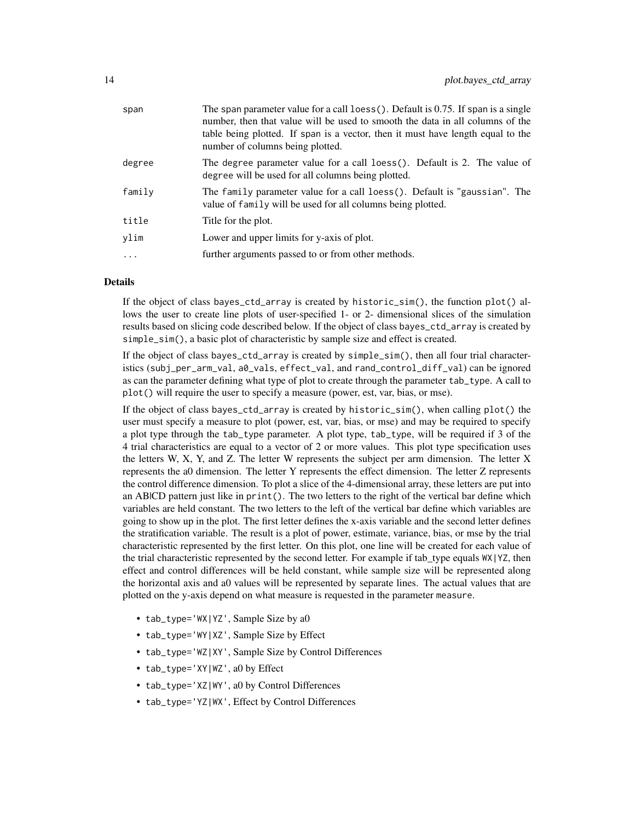| span     | The span parameter value for a call loess (). Default is 0.75. If span is a single<br>number, then that value will be used to smooth the data in all columns of the<br>table being plotted. If span is a vector, then it must have length equal to the<br>number of columns being plotted. |
|----------|--------------------------------------------------------------------------------------------------------------------------------------------------------------------------------------------------------------------------------------------------------------------------------------------|
| degree   | The degree parameter value for a call loess(). Default is 2. The value of<br>degree will be used for all columns being plotted.                                                                                                                                                            |
| family   | The family parameter value for a call loess(). Default is "gaussian". The<br>value of family will be used for all columns being plotted.                                                                                                                                                   |
| title    | Title for the plot.                                                                                                                                                                                                                                                                        |
| vlim     | Lower and upper limits for y-axis of plot.                                                                                                                                                                                                                                                 |
| $\cdots$ | further arguments passed to or from other methods.                                                                                                                                                                                                                                         |
|          |                                                                                                                                                                                                                                                                                            |

#### Details

If the object of class bayes\_ctd\_array is created by historic\_sim(), the function plot() allows the user to create line plots of user-specified 1- or 2- dimensional slices of the simulation results based on slicing code described below. If the object of class bayes\_ctd\_array is created by simple\_sim(), a basic plot of characteristic by sample size and effect is created.

If the object of class bayes\_ctd\_array is created by simple\_sim(), then all four trial characteristics (subj\_per\_arm\_val, a0\_vals, effect\_val, and rand\_control\_diff\_val) can be ignored as can the parameter defining what type of plot to create through the parameter tab\_type. A call to plot() will require the user to specify a measure (power, est, var, bias, or mse).

If the object of class bayes\_ctd\_array is created by historic\_sim(), when calling plot() the user must specify a measure to plot (power, est, var, bias, or mse) and may be required to specify a plot type through the tab\_type parameter. A plot type, tab\_type, will be required if 3 of the 4 trial characteristics are equal to a vector of 2 or more values. This plot type specification uses the letters W, X, Y, and Z. The letter W represents the subject per arm dimension. The letter X represents the a0 dimension. The letter Y represents the effect dimension. The letter Z represents the control difference dimension. To plot a slice of the 4-dimensional array, these letters are put into an AB|CD pattern just like in print(). The two letters to the right of the vertical bar define which variables are held constant. The two letters to the left of the vertical bar define which variables are going to show up in the plot. The first letter defines the x-axis variable and the second letter defines the stratification variable. The result is a plot of power, estimate, variance, bias, or mse by the trial characteristic represented by the first letter. On this plot, one line will be created for each value of the trial characteristic represented by the second letter. For example if tab type equals  $WX|YZ$ , then effect and control differences will be held constant, while sample size will be represented along the horizontal axis and a0 values will be represented by separate lines. The actual values that are plotted on the y-axis depend on what measure is requested in the parameter measure.

- tab\_type='WX|YZ', Sample Size by a0
- tab\_type='WY|XZ', Sample Size by Effect
- tab\_type='WZ|XY', Sample Size by Control Differences
- tab\_type='XY|WZ', a0 by Effect
- tab\_type='XZ|WY', a0 by Control Differences
- tab\_type='YZ|WX', Effect by Control Differences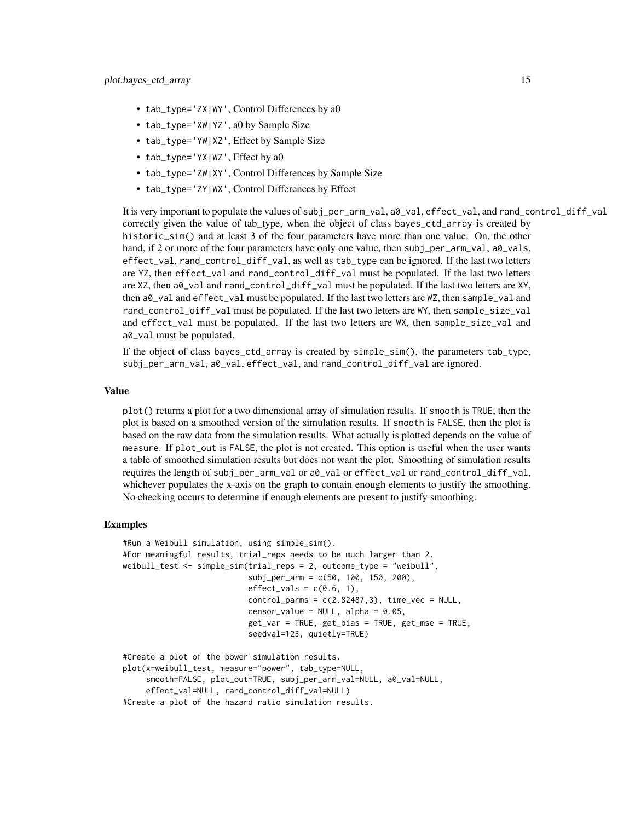- tab\_type='ZX|WY', Control Differences by a0
- tab\_type='XW|YZ', a0 by Sample Size
- tab\_type='YW|XZ', Effect by Sample Size
- tab\_type='YX|WZ', Effect by a0
- tab\_type='ZW|XY', Control Differences by Sample Size
- tab\_type='ZY|WX', Control Differences by Effect

It is very important to populate the values of subj\_per\_arm\_val, a0\_val, effect\_val, and rand\_control\_diff\_val correctly given the value of tab type, when the object of class bayes\_ctd\_array is created by historic\_sim() and at least 3 of the four parameters have more than one value. On, the other hand, if 2 or more of the four parameters have only one value, then subj\_per\_arm\_val, a $\theta$ \_vals, effect\_val, rand\_control\_diff\_val, as well as tab\_type can be ignored. If the last two letters are YZ, then effect\_val and rand\_control\_diff\_val must be populated. If the last two letters are XZ, then a0\_val and rand\_control\_diff\_val must be populated. If the last two letters are XY, then a0\_val and effect\_val must be populated. If the last two letters are WZ, then sample\_val and rand\_control\_diff\_val must be populated. If the last two letters are WY, then sample\_size\_val and effect\_val must be populated. If the last two letters are WX, then sample\_size\_val and a0\_val must be populated.

If the object of class bayes\_ctd\_array is created by simple\_sim(), the parameters tab\_type, subj\_per\_arm\_val, a0\_val, effect\_val, and rand\_control\_diff\_val are ignored.

#### Value

plot() returns a plot for a two dimensional array of simulation results. If smooth is TRUE, then the plot is based on a smoothed version of the simulation results. If smooth is FALSE, then the plot is based on the raw data from the simulation results. What actually is plotted depends on the value of measure. If plot\_out is FALSE, the plot is not created. This option is useful when the user wants a table of smoothed simulation results but does not want the plot. Smoothing of simulation results requires the length of subj\_per\_arm\_val or a0\_val or effect\_val or rand\_control\_diff\_val, whichever populates the x-axis on the graph to contain enough elements to justify the smoothing. No checking occurs to determine if enough elements are present to justify smoothing.

#### Examples

```
#Run a Weibull simulation, using simple_sim().
#For meaningful results, trial_reps needs to be much larger than 2.
weibull_test <- simple_sim(trial_reps = 2, outcome_type = "weibull",
                           subj_per_arm = c(50, 100, 150, 200),
                           effect_vals = c(0.6, 1),
                           control_params = c(2.82487, 3), time\_vec = NULL,censor_value = NULL, alpha = 0.05,
                           get_var = TRUE, get_bias = TRUE, get_mse = TRUE,
                           seedval=123, quietly=TRUE)
#Create a plot of the power simulation results.
plot(x=weibull_test, measure="power", tab_type=NULL,
```
smooth=FALSE, plot\_out=TRUE, subj\_per\_arm\_val=NULL, a0\_val=NULL, effect\_val=NULL, rand\_control\_diff\_val=NULL)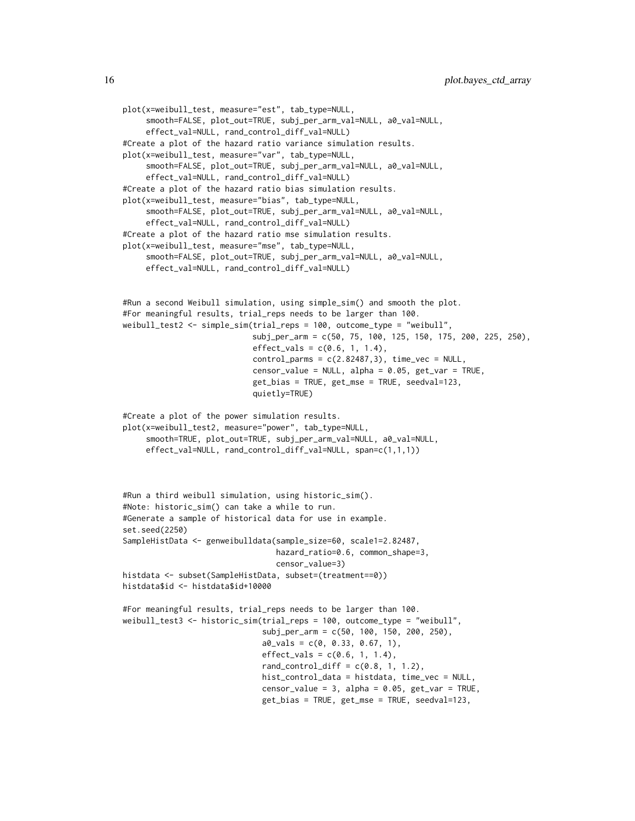```
plot(x=weibull_test, measure="est", tab_type=NULL,
     smooth=FALSE, plot_out=TRUE, subj_per_arm_val=NULL, a0_val=NULL,
     effect_val=NULL, rand_control_diff_val=NULL)
#Create a plot of the hazard ratio variance simulation results.
plot(x=weibull_test, measure="var", tab_type=NULL,
     smooth=FALSE, plot_out=TRUE, subj_per_arm_val=NULL, a0_val=NULL,
     effect_val=NULL, rand_control_diff_val=NULL)
#Create a plot of the hazard ratio bias simulation results.
plot(x=weibull_test, measure="bias", tab_type=NULL,
     smooth=FALSE, plot_out=TRUE, subj_per_arm_val=NULL, a0_val=NULL,
     effect_val=NULL, rand_control_diff_val=NULL)
#Create a plot of the hazard ratio mse simulation results.
plot(x=weibull_test, measure="mse", tab_type=NULL,
     smooth=FALSE, plot_out=TRUE, subj_per_arm_val=NULL, a0_val=NULL,
     effect_val=NULL, rand_control_diff_val=NULL)
#Run a second Weibull simulation, using simple_sim() and smooth the plot.
#For meaningful results, trial_reps needs to be larger than 100.
weibull_test2 <- simple_sim(trial_reps = 100, outcome_type = "weibull",
                            subj_per_arm = c(50, 75, 100, 125, 150, 175, 200, 225, 250),
                            effect_values = c(0.6, 1, 1.4),control_params = c(2.82487, 3), time\_vec = NULL,
                            censor_value = NULL, alpha = 0.05, get_var = TRUE,get_bias = TRUE, get_mse = TRUE, seedval=123,
                            quietly=TRUE)
#Create a plot of the power simulation results.
plot(x=weibull_test2, measure="power", tab_type=NULL,
     smooth=TRUE, plot_out=TRUE, subj_per_arm_val=NULL, a0_val=NULL,
     effect_val=NULL, rand_control_diff_val=NULL, span=c(1,1,1))
#Run a third weibull simulation, using historic_sim().
#Note: historic_sim() can take a while to run.
#Generate a sample of historical data for use in example.
set.seed(2250)
SampleHistData <- genweibulldata(sample_size=60, scale1=2.82487,
                                 hazard_ratio=0.6, common_shape=3,
                                 censor_value=3)
histdata <- subset(SampleHistData, subset=(treatment==0))
histdata$id <- histdata$id+10000
#For meaningful results, trial_reps needs to be larger than 100.
weibull_test3 <- historic_sim(trial_reps = 100, outcome_type = "weibull",
                              subj_per_arm = c(50, 100, 150, 200, 250),
                              a0<sub>-Vals</sub> = c(0, 0.33, 0.67, 1),
                              effect_values = c(0.6, 1, 1.4),rand_countrol\_diff = c(0.8, 1, 1.2),
                              hist_control_data = histdata, time_vec = NULL,
                              censor_value = 3, alpha = 0.05, get_var = TRUE,
                              get_bias = TRUE, get_mse = TRUE, seedval=123,
```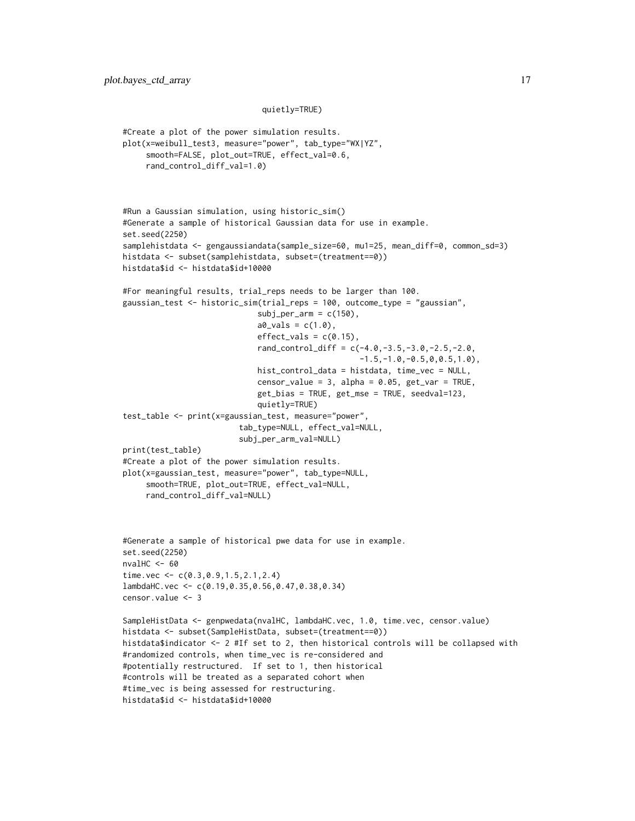#### quietly=TRUE)

```
#Create a plot of the power simulation results.
plot(x=weibull_test3, measure="power", tab_type="WX|YZ",
     smooth=FALSE, plot_out=TRUE, effect_val=0.6,
     rand_control_diff_val=1.0)
#Run a Gaussian simulation, using historic_sim()
#Generate a sample of historical Gaussian data for use in example.
set.seed(2250)
samplehistdata <- gengaussiandata(sample_size=60, mu1=25, mean_diff=0, common_sd=3)
histdata <- subset(samplehistdata, subset=(treatment==0))
histdata$id <- histdata$id+10000
#For meaningful results, trial_reps needs to be larger than 100.
gaussian_test <- historic_sim(trial_reps = 100, outcome_type = "gaussian",
                             subj\_per\_arm = c(150),
                             a0_Vals = c(1.0),
                             effect_values = c(0.15),
                             rand_control_diff = c(-4.0, -3.5, -3.0, -2.5, -2.0,-1.5, -1.0, -0.5, 0, 0.5, 1.0,
                             hist_control_data = histdata, time_vec = NULL,
                             censor_value = 3, alpha = 0.05, get_var = TRUE,
                             get_bias = TRUE, get_mse = TRUE, seedval=123,
                             quietly=TRUE)
test_table <- print(x=gaussian_test, measure="power",
                         tab_type=NULL, effect_val=NULL,
                         subj_per_arm_val=NULL)
print(test_table)
#Create a plot of the power simulation results.
plot(x=gaussian_test, measure="power", tab_type=NULL,
     smooth=TRUE, plot_out=TRUE, effect_val=NULL,
     rand_control_diff_val=NULL)
#Generate a sample of historical pwe data for use in example.
set.seed(2250)
nvalHC <-60time.vec <- c(0.3,0.9,1.5,2.1,2.4)
lambdaHC.vec <- c(0.19,0.35,0.56,0.47,0.38,0.34)
censor.value <- 3
SampleHistData <- genpwedata(nvalHC, lambdaHC.vec, 1.0, time.vec, censor.value)
histdata <- subset(SampleHistData, subset=(treatment==0))
histdata$indicator <- 2 #If set to 2, then historical controls will be collapsed with
#randomized controls, when time_vec is re-considered and
#potentially restructured. If set to 1, then historical
#controls will be treated as a separated cohort when
#time_vec is being assessed for restructuring.
histdata$id <- histdata$id+10000
```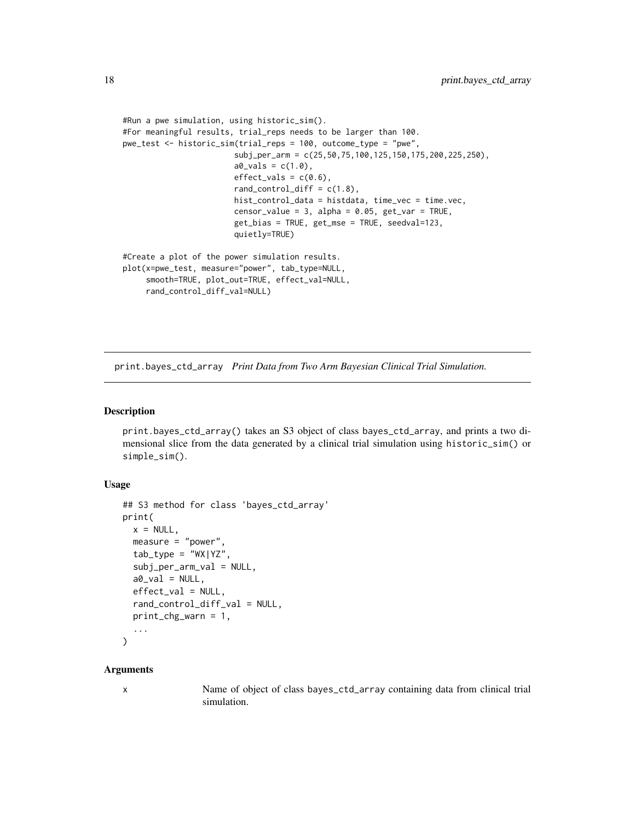```
#Run a pwe simulation, using historic_sim().
#For meaningful results, trial_reps needs to be larger than 100.
pwe_test <- historic_sim(trial_reps = 100, outcome_type = "pwe",
                        subj_per_arm = c(25,50,75,100,125,150,175,200,225,250),
                        a0_Vals = c(1.0),
                        effect\_vals = c(0.6),
                        rand_control_diff = c(1.8),
                        hist_control_data = histdata, time_vec = time.vec,
                        censor_value = 3, alpha = 0.05, get_var = TRUE,
                        get_bias = TRUE, get_mse = TRUE, seedval=123,
                        quietly=TRUE)
#Create a plot of the power simulation results.
plot(x=pwe_test, measure="power", tab_type=NULL,
     smooth=TRUE, plot_out=TRUE, effect_val=NULL,
     rand_control_diff_val=NULL)
```
print.bayes\_ctd\_array *Print Data from Two Arm Bayesian Clinical Trial Simulation.*

#### Description

print.bayes\_ctd\_array() takes an S3 object of class bayes\_ctd\_array, and prints a two dimensional slice from the data generated by a clinical trial simulation using historic\_sim() or simple\_sim().

#### Usage

```
## S3 method for class 'bayes_ctd_array'
print(
  x = NULL,measure = "power",
  tab_type = "WX|YZ",subj_per_arm_val = NULL,
  a0<sub>-Val</sub> = NULL,
  effect_val = NULL,
  rand_control_diff_val = NULL,
 print_chg_warn = 1,
  ...
)
```
#### Arguments

x Name of object of class bayes\_ctd\_array containing data from clinical trial simulation.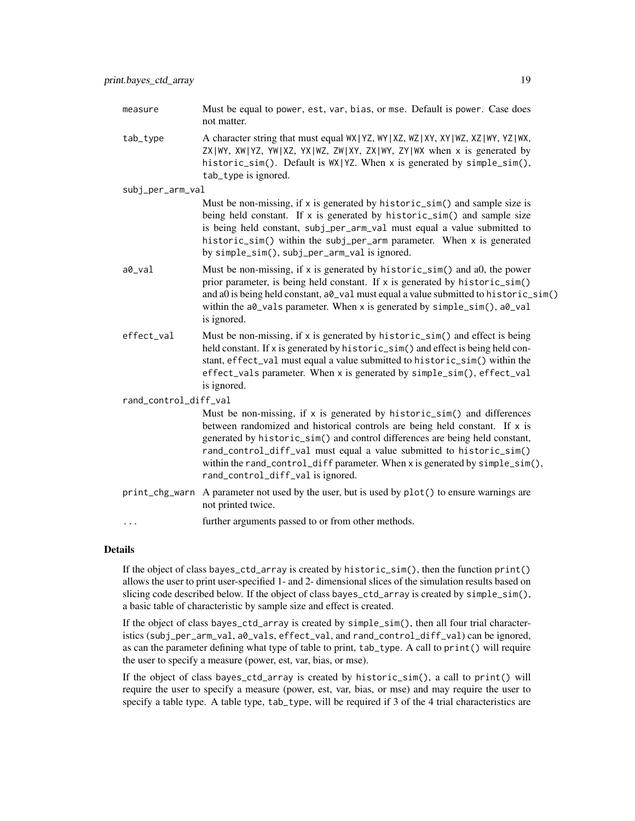- measure Must be equal to power, est, var, bias, or mse. Default is power. Case does not matter.
- tab\_type A character string that must equal WX|YZ, WY|XZ, WZ|XY, XY|WZ, XZ|WY, YZ|WX, ZX|WY, XW|YZ, YW|XZ, YX|WZ, ZW|XY, ZX|WY, ZY|WX when x is generated by historic\_sim(). Default is WX|YZ. When x is generated by simple\_sim(), tab\_type is ignored.
- subj\_per\_arm\_val

Must be non-missing, if x is generated by historic\_sim() and sample size is being held constant. If x is generated by historic\_sim() and sample size is being held constant, subj\_per\_arm\_val must equal a value submitted to historic\_sim() within the subj\_per\_arm parameter. When x is generated by simple\_sim(), subj\_per\_arm\_val is ignored.

- a0\_val Must be non-missing, if x is generated by historic\_sim() and a0, the power prior parameter, is being held constant. If x is generated by historic\_sim() and a0 is being held constant,  $a0$  val must equal a value submitted to historic\_sim() within the a0\_vals parameter. When x is generated by simple\_sim(), a0\_val is ignored.
- effect\_val Must be non-missing, if x is generated by historic\_sim() and effect is being held constant. If x is generated by historic\_sim() and effect is being held constant, effect\_val must equal a value submitted to historic\_sim() within the effect\_vals parameter. When x is generated by simple\_sim(), effect\_val is ignored.

rand\_control\_diff\_val

Must be non-missing, if x is generated by historic\_sim() and differences between randomized and historical controls are being held constant. If x is generated by historic\_sim() and control differences are being held constant, rand\_control\_diff\_val must equal a value submitted to historic\_sim() within the rand\_control\_diff parameter. When x is generated by simple\_sim(), rand\_control\_diff\_val is ignored.

- print\_chg\_warn A parameter not used by the user, but is used by plot() to ensure warnings are not printed twice.
- ... further arguments passed to or from other methods.

#### Details

If the object of class bayes\_ctd\_array is created by historic\_sim(), then the function print() allows the user to print user-specified 1- and 2- dimensional slices of the simulation results based on slicing code described below. If the object of class bayes\_ctd\_array is created by simple\_sim(), a basic table of characteristic by sample size and effect is created.

If the object of class bayes\_ctd\_array is created by simple\_sim(), then all four trial characteristics (subj\_per\_arm\_val, a0\_vals, effect\_val, and rand\_control\_diff\_val) can be ignored, as can the parameter defining what type of table to print, tab\_type. A call to print() will require the user to specify a measure (power, est, var, bias, or mse).

If the object of class bayes\_ctd\_array is created by historic\_sim(), a call to print() will require the user to specify a measure (power, est, var, bias, or mse) and may require the user to specify a table type. A table type, tab\_type, will be required if 3 of the 4 trial characteristics are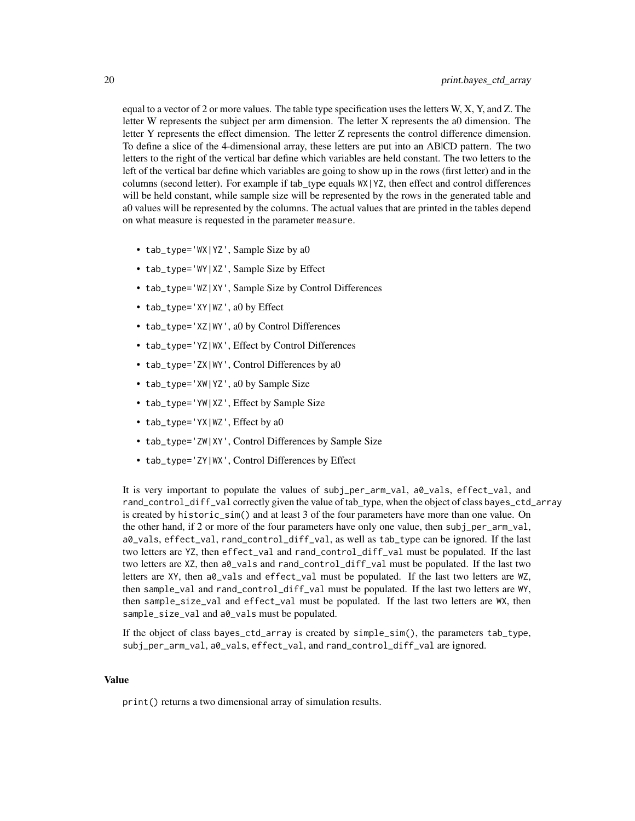equal to a vector of 2 or more values. The table type specification uses the letters  $W, X, Y$ , and Z. The letter W represents the subject per arm dimension. The letter X represents the a0 dimension. The letter Y represents the effect dimension. The letter Z represents the control difference dimension. To define a slice of the 4-dimensional array, these letters are put into an AB|CD pattern. The two letters to the right of the vertical bar define which variables are held constant. The two letters to the left of the vertical bar define which variables are going to show up in the rows (first letter) and in the columns (second letter). For example if tab\_type equals WX|YZ, then effect and control differences will be held constant, while sample size will be represented by the rows in the generated table and a0 values will be represented by the columns. The actual values that are printed in the tables depend on what measure is requested in the parameter measure.

- tab\_type='WX|YZ', Sample Size by a0
- tab\_type='WY|XZ', Sample Size by Effect
- tab\_type='WZ|XY', Sample Size by Control Differences
- tab\_type='XY|WZ', a0 by Effect
- tab\_type='XZ|WY', a0 by Control Differences
- tab\_type='YZ|WX', Effect by Control Differences
- tab\_type='ZX|WY', Control Differences by a0
- tab\_type='XW|YZ', a0 by Sample Size
- tab\_type='YW|XZ', Effect by Sample Size
- tab\_type='YX|WZ', Effect by a0
- tab\_type='ZW|XY', Control Differences by Sample Size
- tab\_type='ZY|WX', Control Differences by Effect

It is very important to populate the values of subj\_per\_arm\_val, a0\_vals, effect\_val, and rand\_control\_diff\_val correctly given the value of tab\_type, when the object of class bayes\_ctd\_array is created by historic\_sim() and at least 3 of the four parameters have more than one value. On the other hand, if 2 or more of the four parameters have only one value, then subj\_per\_arm\_val, a0\_vals, effect\_val, rand\_control\_diff\_val, as well as tab\_type can be ignored. If the last two letters are YZ, then effect\_val and rand\_control\_diff\_val must be populated. If the last two letters are XZ, then a0\_vals and rand\_control\_diff\_val must be populated. If the last two letters are XY, then a $\theta$ -vals and effect-val must be populated. If the last two letters are WZ, then sample\_val and rand\_control\_diff\_val must be populated. If the last two letters are WY, then sample\_size\_val and effect\_val must be populated. If the last two letters are WX, then sample\_size\_val and a0\_vals must be populated.

If the object of class bayes\_ctd\_array is created by simple\_sim(), the parameters tab\_type, subj\_per\_arm\_val, a0\_vals, effect\_val, and rand\_control\_diff\_val are ignored.

#### Value

print() returns a two dimensional array of simulation results.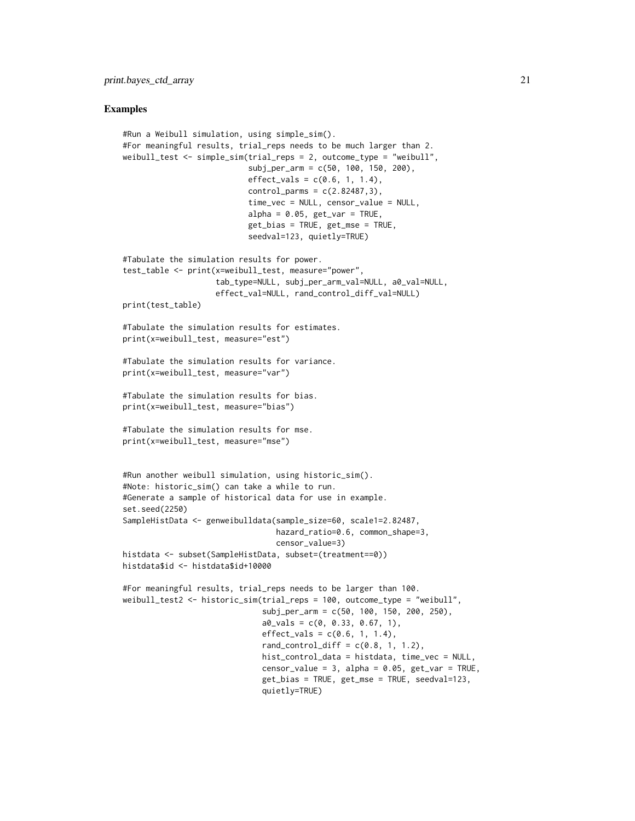#### Examples

```
#Run a Weibull simulation, using simple_sim().
#For meaningful results, trial_reps needs to be much larger than 2.
weibull_test <- simple_sim(trial_reps = 2, outcome_type = "weibull",
                           subj_per_arm = c(50, 100, 150, 200),
                           effect_values = c(0.6, 1, 1.4),control_params = c(2.82487, 3),time_vec = NULL, censor_value = NULL,
                           alpha = 0.05, get\_var = TRUE,
                           get_bias = TRUE, get_mse = TRUE,
                           seedval=123, quietly=TRUE)
#Tabulate the simulation results for power.
test_table <- print(x=weibull_test, measure="power",
                    tab_type=NULL, subj_per_arm_val=NULL, a0_val=NULL,
                    effect_val=NULL, rand_control_diff_val=NULL)
print(test_table)
#Tabulate the simulation results for estimates.
print(x=weibull_test, measure="est")
#Tabulate the simulation results for variance.
print(x=weibull_test, measure="var")
#Tabulate the simulation results for bias.
print(x=weibull_test, measure="bias")
#Tabulate the simulation results for mse.
print(x=weibull_test, measure="mse")
#Run another weibull simulation, using historic_sim().
#Note: historic_sim() can take a while to run.
#Generate a sample of historical data for use in example.
set.seed(2250)
SampleHistData <- genweibulldata(sample_size=60, scale1=2.82487,
                                 hazard_ratio=0.6, common_shape=3,
                                 censor_value=3)
histdata <- subset(SampleHistData, subset=(treatment==0))
histdata$id <- histdata$id+10000
#For meaningful results, trial_reps needs to be larger than 100.
weibull_test2 <- historic_sim(trial_reps = 100, outcome_type = "weibull",
                              subj_per_arm = c(50, 100, 150, 200, 250),
                              a0_Vals = c(0, 0.33, 0.67, 1),effect_values = c(0.6, 1, 1.4),rand_countrol\_diff = c(0.8, 1, 1.2),
                              hist_control_data = histdata, time_vec = NULL,
                              censor_value = 3, alpha = 0.05, get_var = TRUE,
                              get_bias = TRUE, get_mse = TRUE, seedval=123,
                              quietly=TRUE)
```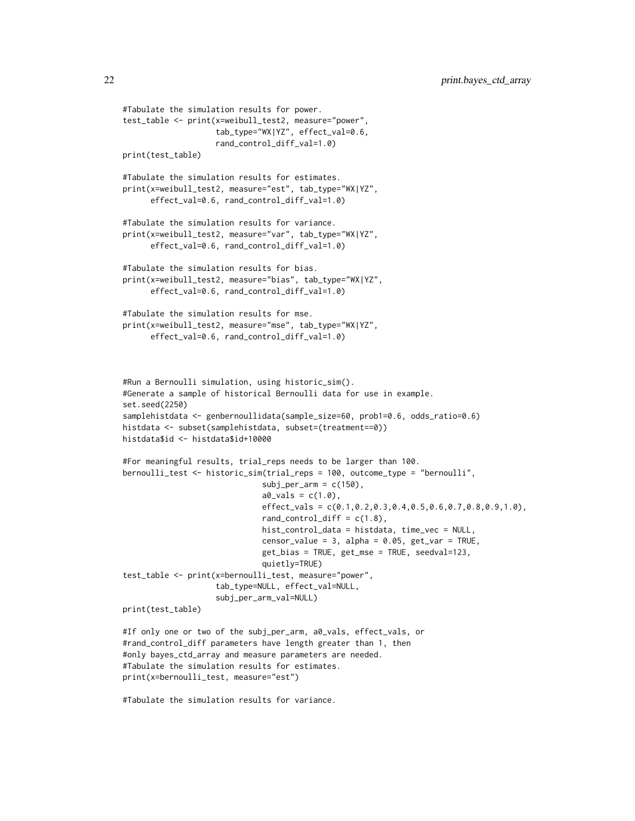```
#Tabulate the simulation results for power.
test_table <- print(x=weibull_test2, measure="power",
                    tab_type="WX|YZ", effect_val=0.6,
                    rand_control_diff_val=1.0)
print(test_table)
#Tabulate the simulation results for estimates.
print(x=weibull_test2, measure="est", tab_type="WX|YZ",
      effect_val=0.6, rand_control_diff_val=1.0)
#Tabulate the simulation results for variance.
print(x=weibull_test2, measure="var", tab_type="WX|YZ",
      effect_val=0.6, rand_control_diff_val=1.0)
#Tabulate the simulation results for bias.
print(x=weibull_test2, measure="bias", tab_type="WX|YZ",
      effect_val=0.6, rand_control_diff_val=1.0)
#Tabulate the simulation results for mse.
print(x=weibull_test2, measure="mse", tab_type="WX|YZ",
      effect_val=0.6, rand_control_diff_val=1.0)
#Run a Bernoulli simulation, using historic_sim().
#Generate a sample of historical Bernoulli data for use in example.
set.seed(2250)
samplehistdata <- genbernoullidata(sample_size=60, prob1=0.6, odds_ratio=0.6)
histdata <- subset(samplehistdata, subset=(treatment==0))
histdata$id <- histdata$id+10000
#For meaningful results, trial_reps needs to be larger than 100.
bernoulli_test <- historic_sim(trial_reps = 100, outcome_type = "bernoulli",
                              subj\_per\_arm = c(150),
                              a0_Vals = c(1.0),
                              effect_vals = c(0.1,0.2,0.3,0.4,0.5,0.6,0.7,0.8,0.9,1.0),
                              rand_control_diff = c(1.8),
                              hist_control_data = histdata, time_vec = NULL,
                              censor_value = 3, alpha = 0.05, get_var = TRUE,
                              get_bias = TRUE, get_mse = TRUE, seedval=123,
                              quietly=TRUE)
test_table <- print(x=bernoulli_test, measure="power",
                    tab_type=NULL, effect_val=NULL,
                    subj_per_arm_val=NULL)
print(test_table)
#If only one or two of the subj_per_arm, a0_vals, effect_vals, or
#rand_control_diff parameters have length greater than 1, then
#only bayes_ctd_array and measure parameters are needed.
#Tabulate the simulation results for estimates.
print(x=bernoulli_test, measure="est")
```
#Tabulate the simulation results for variance.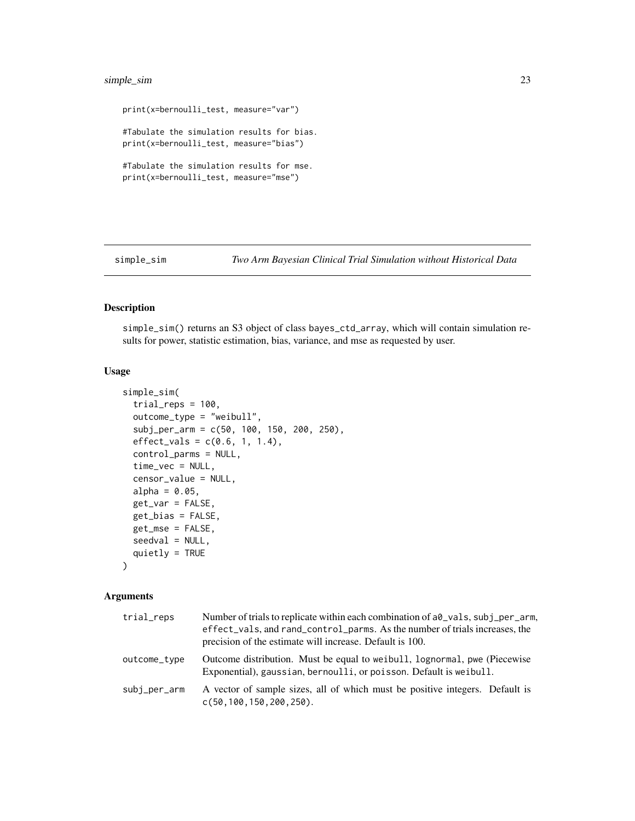#### <span id="page-22-0"></span>simple\_sim 23

```
print(x=bernoulli_test, measure="var")
#Tabulate the simulation results for bias.
print(x=bernoulli_test, measure="bias")
#Tabulate the simulation results for mse.
print(x=bernoulli_test, measure="mse")
```
simple\_sim *Two Arm Bayesian Clinical Trial Simulation without Historical Data*

#### Description

simple\_sim() returns an S3 object of class bayes\_ctd\_array, which will contain simulation results for power, statistic estimation, bias, variance, and mse as requested by user.

#### Usage

```
simple_sim(
  trial_{reps} = 100,outcome_type = "weibull",
  subj_per_arm = c(50, 100, 150, 200, 250),
  effect_values = c(0.6, 1, 1.4),control_parms = NULL,
  time_vec = NULL,
  censor_value = NULL,
  alpha = 0.05,
  get_var = FALSE,
  get_bias = FALSE,
  get_mse = FALSE,
  seedval = NULL,
  quietly = TRUE
)
```
#### Arguments

| trial_reps   | Number of trials to replicate within each combination of a $\theta$ vals, subj_per_arm,<br>effect_vals, and rand_control_parms. As the number of trials increases, the<br>precision of the estimate will increase. Default is 100. |
|--------------|------------------------------------------------------------------------------------------------------------------------------------------------------------------------------------------------------------------------------------|
| outcome_type | Outcome distribution. Must be equal to we ibull, lognormal, pwe (Piecewise)<br>Exponential), gaussian, bernoulli, or poisson. Default is weibull.                                                                                  |
| subj_per_arm | A vector of sample sizes, all of which must be positive integers. Default is<br>$c(50, 100, 150, 200, 250)$ .                                                                                                                      |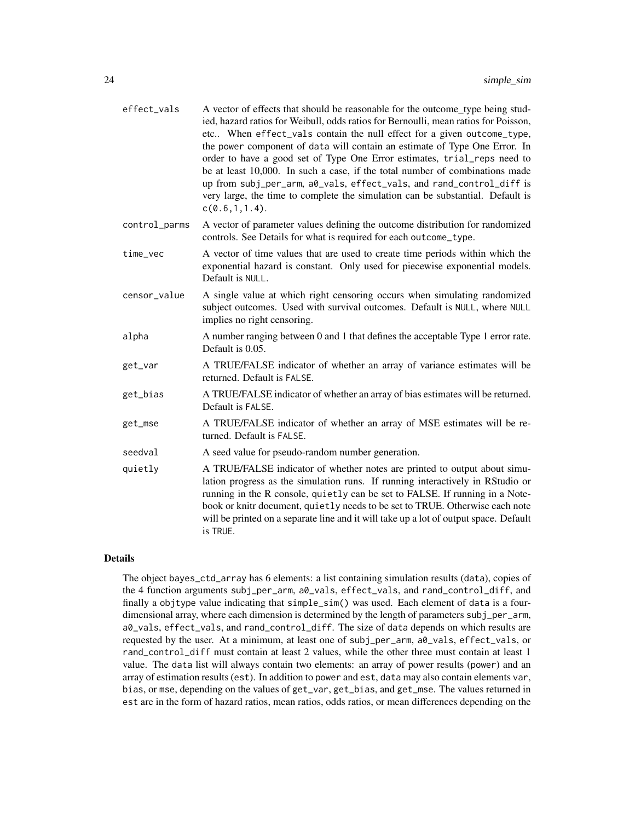| effect_vals   | A vector of effects that should be reasonable for the outcome_type being stud-<br>ied, hazard ratios for Weibull, odds ratios for Bernoulli, mean ratios for Poisson,<br>etc When effect_vals contain the null effect for a given outcome_type,<br>the power component of data will contain an estimate of Type One Error. In<br>order to have a good set of Type One Error estimates, trial_reps need to<br>be at least 10,000. In such a case, if the total number of combinations made<br>up from subj_per_arm, a0_vals, effect_vals, and rand_control_diff is<br>very large, the time to complete the simulation can be substantial. Default is<br>c(0.6, 1, 1.4). |
|---------------|------------------------------------------------------------------------------------------------------------------------------------------------------------------------------------------------------------------------------------------------------------------------------------------------------------------------------------------------------------------------------------------------------------------------------------------------------------------------------------------------------------------------------------------------------------------------------------------------------------------------------------------------------------------------|
| control_parms | A vector of parameter values defining the outcome distribution for randomized<br>controls. See Details for what is required for each outcome_type.                                                                                                                                                                                                                                                                                                                                                                                                                                                                                                                     |
| time_vec      | A vector of time values that are used to create time periods within which the<br>exponential hazard is constant. Only used for piecewise exponential models.<br>Default is NULL.                                                                                                                                                                                                                                                                                                                                                                                                                                                                                       |
| censor_value  | A single value at which right censoring occurs when simulating randomized<br>subject outcomes. Used with survival outcomes. Default is NULL, where NULL<br>implies no right censoring.                                                                                                                                                                                                                                                                                                                                                                                                                                                                                 |
| alpha         | A number ranging between 0 and 1 that defines the acceptable Type 1 error rate.<br>Default is 0.05.                                                                                                                                                                                                                                                                                                                                                                                                                                                                                                                                                                    |
| get_var       | A TRUE/FALSE indicator of whether an array of variance estimates will be<br>returned. Default is FALSE.                                                                                                                                                                                                                                                                                                                                                                                                                                                                                                                                                                |
| get_bias      | A TRUE/FALSE indicator of whether an array of bias estimates will be returned.<br>Default is FALSE.                                                                                                                                                                                                                                                                                                                                                                                                                                                                                                                                                                    |
| get_mse       | A TRUE/FALSE indicator of whether an array of MSE estimates will be re-<br>turned. Default is FALSE.                                                                                                                                                                                                                                                                                                                                                                                                                                                                                                                                                                   |
| seedval       | A seed value for pseudo-random number generation.                                                                                                                                                                                                                                                                                                                                                                                                                                                                                                                                                                                                                      |
| quietly       | A TRUE/FALSE indicator of whether notes are printed to output about simu-<br>lation progress as the simulation runs. If running interactively in RStudio or<br>running in the R console, quietly can be set to FALSE. If running in a Note-<br>book or knitr document, quietly needs to be set to TRUE. Otherwise each note<br>will be printed on a separate line and it will take up a lot of output space. Default<br>is TRUE.                                                                                                                                                                                                                                       |

#### Details

The object bayes\_ctd\_array has 6 elements: a list containing simulation results (data), copies of the 4 function arguments subj\_per\_arm, a0\_vals, effect\_vals, and rand\_control\_diff, and finally a objtype value indicating that simple\_sim() was used. Each element of data is a fourdimensional array, where each dimension is determined by the length of parameters subj\_per\_arm, a0\_vals, effect\_vals, and rand\_control\_diff. The size of data depends on which results are requested by the user. At a minimum, at least one of subj\_per\_arm, a0\_vals, effect\_vals, or rand\_control\_diff must contain at least 2 values, while the other three must contain at least 1 value. The data list will always contain two elements: an array of power results (power) and an array of estimation results (est). In addition to power and est, data may also contain elements var, bias, or mse, depending on the values of get\_var, get\_bias, and get\_mse. The values returned in est are in the form of hazard ratios, mean ratios, odds ratios, or mean differences depending on the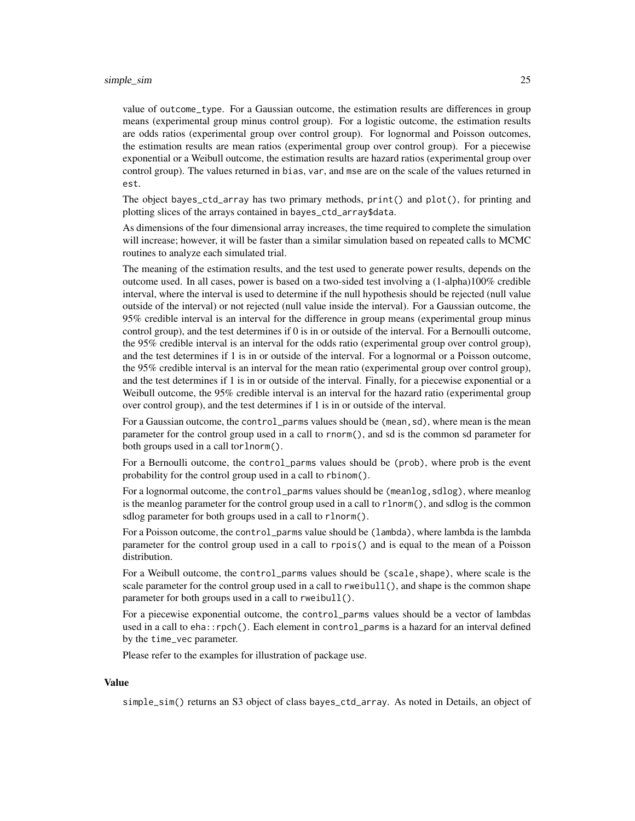#### simple\_sim 25

value of outcome\_type. For a Gaussian outcome, the estimation results are differences in group means (experimental group minus control group). For a logistic outcome, the estimation results are odds ratios (experimental group over control group). For lognormal and Poisson outcomes, the estimation results are mean ratios (experimental group over control group). For a piecewise exponential or a Weibull outcome, the estimation results are hazard ratios (experimental group over control group). The values returned in bias, var, and mse are on the scale of the values returned in est.

The object bayes\_ctd\_array has two primary methods, print() and plot(), for printing and plotting slices of the arrays contained in bayes\_ctd\_array\$data.

As dimensions of the four dimensional array increases, the time required to complete the simulation will increase; however, it will be faster than a similar simulation based on repeated calls to MCMC routines to analyze each simulated trial.

The meaning of the estimation results, and the test used to generate power results, depends on the outcome used. In all cases, power is based on a two-sided test involving a (1-alpha)100% credible interval, where the interval is used to determine if the null hypothesis should be rejected (null value outside of the interval) or not rejected (null value inside the interval). For a Gaussian outcome, the 95% credible interval is an interval for the difference in group means (experimental group minus control group), and the test determines if 0 is in or outside of the interval. For a Bernoulli outcome, the 95% credible interval is an interval for the odds ratio (experimental group over control group), and the test determines if 1 is in or outside of the interval. For a lognormal or a Poisson outcome, the 95% credible interval is an interval for the mean ratio (experimental group over control group), and the test determines if 1 is in or outside of the interval. Finally, for a piecewise exponential or a Weibull outcome, the 95% credible interval is an interval for the hazard ratio (experimental group over control group), and the test determines if 1 is in or outside of the interval.

For a Gaussian outcome, the control\_parms values should be (mean, sd), where mean is the mean parameter for the control group used in a call to rnorm(), and sd is the common sd parameter for both groups used in a call torlnorm().

For a Bernoulli outcome, the control\_parms values should be (prob), where prob is the event probability for the control group used in a call to rbinom().

For a lognormal outcome, the control\_parms values should be (meanlog,sdlog), where meanlog is the meanlog parameter for the control group used in a call to rlnorm(), and sdlog is the common sdlog parameter for both groups used in a call to rlnorm().

For a Poisson outcome, the control\_parms value should be (lambda), where lambda is the lambda parameter for the control group used in a call to rpois() and is equal to the mean of a Poisson distribution.

For a Weibull outcome, the control\_parms values should be (scale,shape), where scale is the scale parameter for the control group used in a call to rweibull(), and shape is the common shape parameter for both groups used in a call to rweibull().

For a piecewise exponential outcome, the control\_parms values should be a vector of lambdas used in a call to eha::rpch(). Each element in control\_parms is a hazard for an interval defined by the time\_vec parameter.

Please refer to the examples for illustration of package use.

#### Value

simple\_sim() returns an S3 object of class bayes\_ctd\_array. As noted in Details, an object of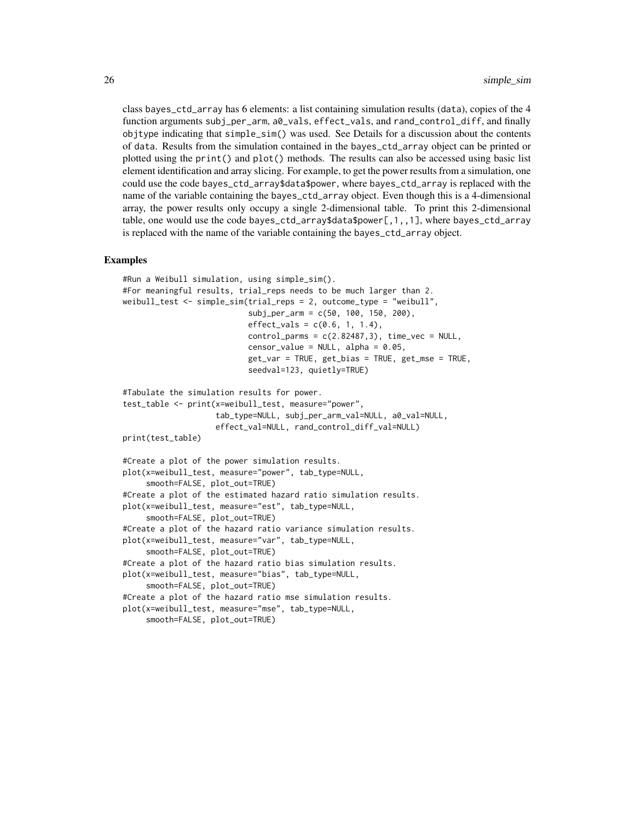class bayes\_ctd\_array has 6 elements: a list containing simulation results (data), copies of the 4 function arguments subj\_per\_arm, a0\_vals, effect\_vals, and rand\_control\_diff, and finally objtype indicating that simple\_sim() was used. See Details for a discussion about the contents of data. Results from the simulation contained in the bayes\_ctd\_array object can be printed or plotted using the print() and plot() methods. The results can also be accessed using basic list element identification and array slicing. For example, to get the power results from a simulation, one could use the code bayes\_ctd\_array\$data\$power, where bayes\_ctd\_array is replaced with the name of the variable containing the bayes\_ctd\_array object. Even though this is a 4-dimensional array, the power results only occupy a single 2-dimensional table. To print this 2-dimensional table, one would use the code bayes\_ctd\_array\$data\$power[,1,,1], where bayes\_ctd\_array is replaced with the name of the variable containing the bayes\_ctd\_array object.

#### Examples

```
#Run a Weibull simulation, using simple_sim().
#For meaningful results, trial_reps needs to be much larger than 2.
weibull_test <- simple_sim(trial_reps = 2, outcome_type = "weibull",
                           subj_per_arm = c(50, 100, 150, 200),
                           effect_values = c(0.6, 1, 1.4),control_params = c(2.82487, 3), time\_vec = NULL,censor_value = NULL, alpha = 0.05,
                           get_var = TRUE, get_bias = TRUE, get_mse = TRUE,
                           seedval=123, quietly=TRUE)
#Tabulate the simulation results for power.
test_table <- print(x=weibull_test, measure="power",
                    tab_type=NULL, subj_per_arm_val=NULL, a0_val=NULL,
                    effect_val=NULL, rand_control_diff_val=NULL)
print(test_table)
#Create a plot of the power simulation results.
plot(x=weibull_test, measure="power", tab_type=NULL,
     smooth=FALSE, plot_out=TRUE)
#Create a plot of the estimated hazard ratio simulation results.
plot(x=weibull_test, measure="est", tab_type=NULL,
     smooth=FALSE, plot_out=TRUE)
#Create a plot of the hazard ratio variance simulation results.
plot(x=weibull_test, measure="var", tab_type=NULL,
     smooth=FALSE, plot_out=TRUE)
#Create a plot of the hazard ratio bias simulation results.
plot(x=weibull_test, measure="bias", tab_type=NULL,
     smooth=FALSE, plot_out=TRUE)
#Create a plot of the hazard ratio mse simulation results.
plot(x=weibull_test, measure="mse", tab_type=NULL,
     smooth=FALSE, plot_out=TRUE)
```